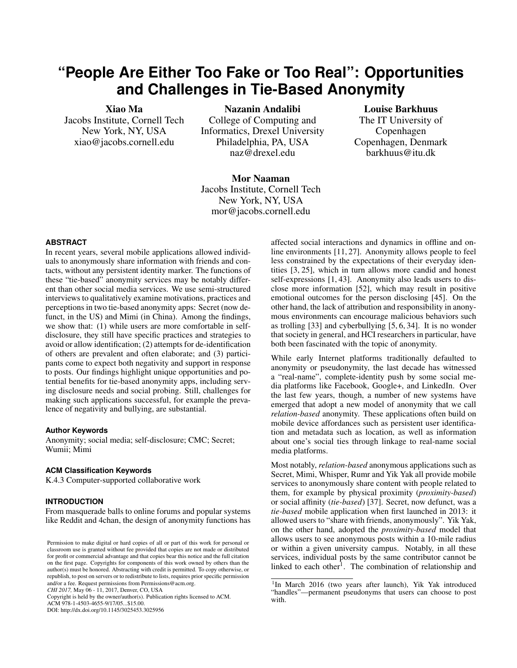# **"People Are Either Too Fake or Too Real": Opportunities and Challenges in Tie-Based Anonymity**

Xiao Ma Jacobs Institute, Cornell Tech New York, NY, USA xiao@jacobs.cornell.edu

Nazanin Andalibi College of Computing and Informatics, Drexel University Philadelphia, PA, USA naz@drexel.edu

Mor Naaman Jacobs Institute, Cornell Tech New York, NY, USA mor@jacobs.cornell.edu

## **ABSTRACT**

In recent years, several mobile applications allowed individuals to anonymously share information with friends and contacts, without any persistent identity marker. The functions of these "tie-based" anonymity services may be notably different than other social media services. We use semi-structured interviews to qualitatively examine motivations, practices and perceptions in two tie-based anonymity apps: Secret (now defunct, in the US) and Mimi (in China). Among the findings, we show that: (1) while users are more comfortable in selfdisclosure, they still have specific practices and strategies to avoid or allow identification; (2) attempts for de-identification of others are prevalent and often elaborate; and (3) participants come to expect both negativity and support in response to posts. Our findings highlight unique opportunities and potential benefits for tie-based anonymity apps, including serving disclosure needs and social probing. Still, challenges for making such applications successful, for example the prevalence of negativity and bullying, are substantial.

#### **Author Keywords**

Anonymity; social media; self-disclosure; CMC; Secret; Wumii; Mimi

#### **ACM Classification Keywords**

K.4.3 Computer-supported collaborative work

#### **INTRODUCTION**

From masquerade balls to online forums and popular systems like Reddit and 4chan, the design of anonymity functions has

Copyright is held by the owner/author(s). Publication rights licensed to ACM. ACM 978-1-4503-4655-9/17/05...\$15.00.

affected social interactions and dynamics in offline and online environments [\[11,](#page-10-0) [27\]](#page-10-1). Anonymity allows people to feel less constrained by the expectations of their everyday identities [\[3,](#page-9-0) [25\]](#page-10-2), which in turn allows more candid and honest self-expressions [\[1,](#page-9-1) [43\]](#page-11-0). Anonymity also leads users to disclose more information [\[52\]](#page-12-0), which may result in positive emotional outcomes for the person disclosing [\[45\]](#page-11-1). On the other hand, the lack of attribution and responsibility in anonymous environments can encourage malicious behaviors such as trolling [\[33\]](#page-11-2) and cyberbullying [\[5,](#page-9-2) [6,](#page-9-3) [34\]](#page-11-3). It is no wonder that society in general, and HCI researchers in particular, have both been fascinated with the topic of anonymity.

Louise Barkhuus The IT University of Copenhagen Copenhagen, Denmark barkhuus@itu.dk

While early Internet platforms traditionally defaulted to anonymity or pseudonymity, the last decade has witnessed a "real-name", complete-identity push by some social media platforms like Facebook, Google+, and LinkedIn. Over the last few years, though, a number of new systems have emerged that adopt a new model of anonymity that we call *relation-based* anonymity. These applications often build on mobile device affordances such as persistent user identification and metadata such as location, as well as information about one's social ties through linkage to real-name social media platforms.

Most notably, *relation-based* anonymous applications such as Secret, Mimi, Whisper, Rumr and Yik Yak all provide mobile services to anonymously share content with people related to them, for example by physical proximity (*proximity-based*) or social affinity (*tie-based*) [\[37\]](#page-11-4). Secret, now defunct, was a *tie-based* mobile application when first launched in 2013: it allowed users to "share with friends, anonymously". Yik Yak, on the other hand, adopted the *proximity-based* model that allows users to see anonymous posts within a 10-mile radius or within a given university campus. Notably, in all these services, individual posts by the same contributor cannot be linked to each other<sup>[1](#page-0-0)</sup>. The combination of relationship and

Permission to make digital or hard copies of all or part of this work for personal or classroom use is granted without fee provided that copies are not made or distributed for profit or commercial advantage and that copies bear this notice and the full citation on the first page. Copyrights for components of this work owned by others than the author(s) must be honored. Abstracting with credit is permitted. To copy otherwise, or republish, to post on servers or to redistribute to lists, requires prior specific permission and/or a fee. Request permissions from Permissions@acm.org.

*CHI 2017,* May 06 - 11, 2017, Denver, CO, USA

DOI: http://dx.doi.org/10.1145/3025453.3025956

<span id="page-0-0"></span><sup>&</sup>lt;sup>1</sup>In March 2016 (two years after launch), Yik Yak introduced "handles"—permanent pseudonyms that users can choose to post with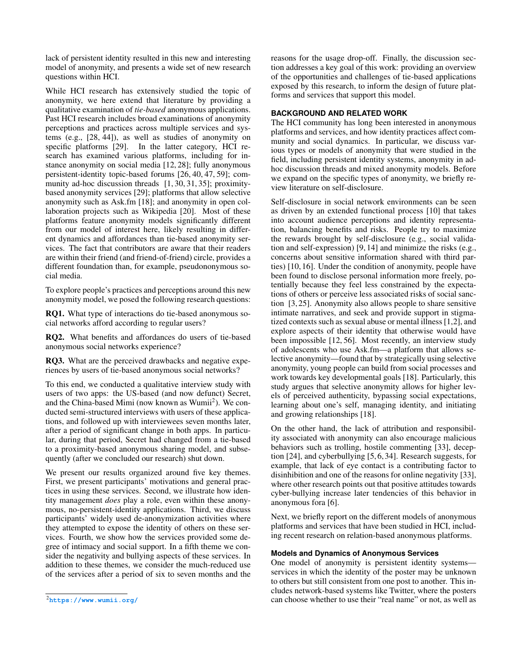lack of persistent identity resulted in this new and interesting model of anonymity, and presents a wide set of new research questions within HCI.

While HCI research has extensively studied the topic of anonymity, we here extend that literature by providing a qualitative examination of *tie-based* anonymous applications. Past HCI research includes broad examinations of anonymity perceptions and practices across multiple services and systems (e.g., [\[28,](#page-11-5) [44\]](#page-11-6)), as well as studies of anonymity on specific platforms [\[29\]](#page-11-7). In the latter category, HCI research has examined various platforms, including for instance anonymity on social media [\[12,](#page-10-3) [28\]](#page-11-5); fully anonymous persistent-identity topic-based forums [\[26,](#page-10-4) [40,](#page-11-8) [47,](#page-12-1) [59\]](#page-12-2); community ad-hoc discussion threads [\[1,](#page-9-1) [30,](#page-11-9) [31,](#page-11-10) [35\]](#page-11-11); proximitybased anonymity services [\[29\]](#page-11-7); platforms that allow selective anonymity such as Ask.fm [\[18\]](#page-10-5); and anonymity in open collaboration projects such as Wikipedia [\[20\]](#page-10-6). Most of these platforms feature anonymity models significantly different from our model of interest here, likely resulting in different dynamics and affordances than tie-based anonymity services. The fact that contributors are aware that their readers are within their friend (and friend-of-friend) circle, provides a different foundation than, for example, pseudononymous social media.

To explore people's practices and perceptions around this new anonymity model, we posed the following research questions:

RQ1. What type of interactions do tie-based anonymous social networks afford according to regular users?

RQ2. What benefits and affordances do users of tie-based anonymous social networks experience?

RQ3. What are the perceived drawbacks and negative experiences by users of tie-based anonymous social networks?

To this end, we conducted a qualitative interview study with users of two apps: the US-based (and now defunct) Secret, and the China-based Mimi (now known as Wumii<sup>[2](#page-1-0)</sup>). We conducted semi-structured interviews with users of these applications, and followed up with interviewees seven months later, after a period of significant change in both apps. In particular, during that period, Secret had changed from a tie-based to a proximity-based anonymous sharing model, and subsequently (after we concluded our research) shut down.

We present our results organized around five key themes. First, we present participants' motivations and general practices in using these services. Second, we illustrate how identity management *does* play a role, even within these anonymous, no-persistent-identity applications. Third, we discuss participants' widely used de-anonymization activities where they attempted to expose the identity of others on these services. Fourth, we show how the services provided some degree of intimacy and social support. In a fifth theme we consider the negativity and bullying aspects of these services. In addition to these themes, we consider the much-reduced use of the services after a period of six to seven months and the

reasons for the usage drop-off. Finally, the discussion section addresses a key goal of this work: providing an overview of the opportunities and challenges of tie-based applications exposed by this research, to inform the design of future platforms and services that support this model.

### **BACKGROUND AND RELATED WORK**

The HCI community has long been interested in anonymous platforms and services, and how identity practices affect community and social dynamics. In particular, we discuss various types or models of anonymity that were studied in the field, including persistent identity systems, anonymity in adhoc discussion threads and mixed anonymity models. Before we expand on the specific types of anonymity, we briefly review literature on self-disclosure.

Self-disclosure in social network environments can be seen as driven by an extended functional process [\[10\]](#page-10-7) that takes into account audience perceptions and identity representation, balancing benefits and risks. People try to maximize the rewards brought by self-disclosure (e.g., social validation and self-expression) [\[9,](#page-10-8) [14\]](#page-10-9) and minimize the risks (e.g., concerns about sensitive information shared with third parties) [\[10,](#page-10-7) [16\]](#page-10-10). Under the condition of anonymity, people have been found to disclose personal information more freely, potentially because they feel less constrained by the expectations of others or perceive less associated risks of social sanction [\[3,](#page-9-0) [25\]](#page-10-2). Anonymity also allows people to share sensitive intimate narratives, and seek and provide support in stigmatized contexts such as sexual abuse or mental illness [\[1,](#page-9-1)[2\]](#page-9-4), and explore aspects of their identity that otherwise would have been impossible [\[12,](#page-10-3) [56\]](#page-12-3). Most recently, an interview study of adolescents who use Ask.fm—a platform that allows selective anonymity—found that by strategically using selective anonymity, young people can build from social processes and work towards key developmental goals [\[18\]](#page-10-5). Particularly, this study argues that selective anonymity allows for higher levels of perceived authenticity, bypassing social expectations, learning about one's self, managing identity, and initiating and growing relationships [\[18\]](#page-10-5).

On the other hand, the lack of attribution and responsibility associated with anonymity can also encourage malicious behaviors such as trolling, hostile commenting [\[33\]](#page-11-2), deception [\[24\]](#page-10-11), and cyberbullying [\[5,](#page-9-2) [6,](#page-9-3) [34\]](#page-11-3). Research suggests, for example, that lack of eye contact is a contributing factor to disinhibition and one of the reasons for online negativity [\[33\]](#page-11-2), where other research points out that positive attitudes towards cyber-bullying increase later tendencies of this behavior in anonymous fora [\[6\]](#page-9-3).

Next, we briefly report on the different models of anonymous platforms and services that have been studied in HCI, including recent research on relation-based anonymous platforms.

#### **Models and Dynamics of Anonymous Services**

One model of anonymity is persistent identity systems services in which the identity of the poster may be unknown to others but still consistent from one post to another. This includes network-based systems like Twitter, where the posters can choose whether to use their "real name" or not, as well as

<span id="page-1-0"></span><sup>2</sup>**<https://www.wumii.org/>**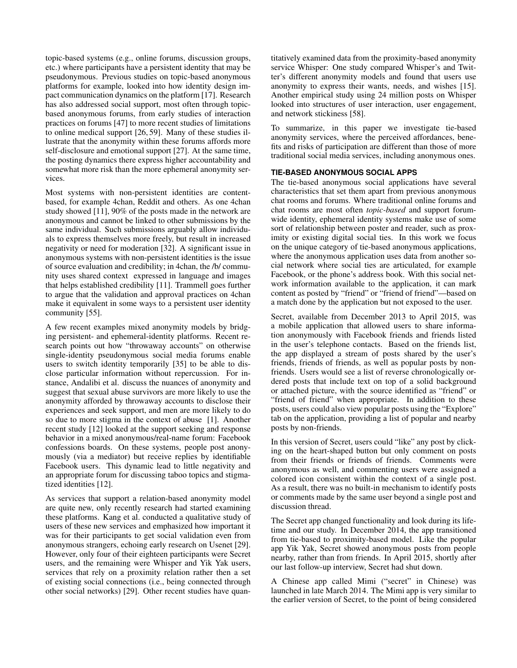topic-based systems (e.g., online forums, discussion groups, etc.) where participants have a persistent identity that may be pseudonymous. Previous studies on topic-based anonymous platforms for example, looked into how identity design impact communication dynamics on the platform [\[17\]](#page-10-12). Research has also addressed social support, most often through topicbased anonymous forums, from early studies of interaction practices on forums [\[47\]](#page-12-1) to more recent studies of limitations to online medical support [\[26,](#page-10-4) [59\]](#page-12-2). Many of these studies illustrate that the anonymity within these forums affords more self-disclosure and emotional support [\[27\]](#page-10-1). At the same time, the posting dynamics there express higher accountability and somewhat more risk than the more ephemeral anonymity services.

Most systems with non-persistent identities are contentbased, for example 4chan, Reddit and others. As one 4chan study showed [\[11\]](#page-10-0), 90% of the posts made in the network are anonymous and cannot be linked to other submissions by the same individual. Such submissions arguably allow individuals to express themselves more freely, but result in increased negativity or need for moderation [\[32\]](#page-11-12). A significant issue in anonymous systems with non-persistent identities is the issue of source evaluation and credibility; in 4chan, the /b/ community uses shared context expressed in language and images that helps established credibility [\[11\]](#page-10-0). Trammell goes further to argue that the validation and approval practices on 4chan make it equivalent in some ways to a persistent user identity community [\[55\]](#page-12-4).

A few recent examples mixed anonymity models by bridging persistent- and ephemeral-identity platforms. Recent research points out how "throwaway accounts" on otherwise single-identity pseudonymous social media forums enable users to switch identity temporarily [\[35\]](#page-11-11) to be able to disclose particular information without repercussion. For instance, Andalibi et al. discuss the nuances of anonymity and suggest that sexual abuse survivors are more likely to use the anonymity afforded by throwaway accounts to disclose their experiences and seek support, and men are more likely to do so due to more stigma in the context of abuse [\[1\]](#page-9-1). Another recent study [\[12\]](#page-10-3) looked at the support seeking and response behavior in a mixed anonymous/real-name forum: Facebook confessions boards. On these systems, people post anonymously (via a mediator) but receive replies by identifiable Facebook users. This dynamic lead to little negativity and an appropriate forum for discussing taboo topics and stigmatized identities [\[12\]](#page-10-3).

As services that support a relation-based anonymity model are quite new, only recently research had started examining these platforms. Kang et al. conducted a qualitative study of users of these new services and emphasized how important it was for their participants to get social validation even from anonymous strangers, echoing early research on Usenet [\[29\]](#page-11-7). However, only four of their eighteen participants were Secret users, and the remaining were Whisper and Yik Yak users, services that rely on a proximity relation rather then a set of existing social connections (i.e., being connected through other social networks) [\[29\]](#page-11-7). Other recent studies have quantitatively examined data from the proximity-based anonymity service Whisper: One study compared Whisper's and Twitter's different anonymity models and found that users use anonymity to express their wants, needs, and wishes [\[15\]](#page-10-13). Another empirical study using 24 million posts on Whisper looked into structures of user interaction, user engagement, and network stickiness [\[58\]](#page-12-5).

To summarize, in this paper we investigate tie-based anonymity services, where the perceived affordances, benefits and risks of participation are different than those of more traditional social media services, including anonymous ones.

## **TIE-BASED ANONYMOUS SOCIAL APPS**

The tie-based anonymous social applications have several characteristics that set them apart from previous anonymous chat rooms and forums. Where traditional online forums and chat rooms are most often *topic-based* and support forumwide identity, ephemeral identity systems make use of some sort of relationship between poster and reader, such as proximity or existing digital social ties. In this work we focus on the unique category of tie-based anonymous applications, where the anonymous application uses data from another social network where social ties are articulated, for example Facebook, or the phone's address book. With this social network information available to the application, it can mark content as posted by "friend" or "friend of friend"—based on a match done by the application but not exposed to the user.

Secret, available from December 2013 to April 2015, was a mobile application that allowed users to share information anonymously with Facebook friends and friends listed in the user's telephone contacts. Based on the friends list, the app displayed a stream of posts shared by the user's friends, friends of friends, as well as popular posts by nonfriends. Users would see a list of reverse chronologically ordered posts that include text on top of a solid background or attached picture, with the source identified as "friend" or "friend of friend" when appropriate. In addition to these posts, users could also view popular posts using the "Explore" tab on the application, providing a list of popular and nearby posts by non-friends.

In this version of Secret, users could "like" any post by clicking on the heart-shaped button but only comment on posts from their friends or friends of friends. Comments were anonymous as well, and commenting users were assigned a colored icon consistent within the context of a single post. As a result, there was no built-in mechanism to identify posts or comments made by the same user beyond a single post and discussion thread.

The Secret app changed functionality and look during its lifetime and our study. In December 2014, the app transitioned from tie-based to proximity-based model. Like the popular app Yik Yak, Secret showed anonymous posts from people nearby, rather than from friends. In April 2015, shortly after our last follow-up interview, Secret had shut down.

A Chinese app called Mimi ("secret" in Chinese) was launched in late March 2014. The Mimi app is very similar to the earlier version of Secret, to the point of being considered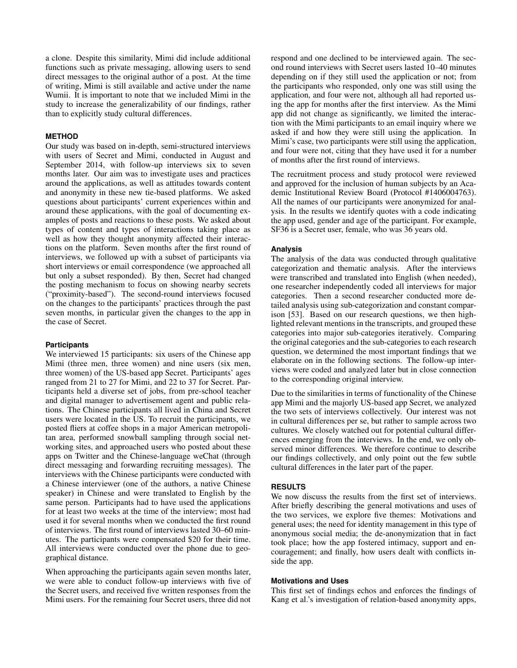a clone. Despite this similarity, Mimi did include additional functions such as private messaging, allowing users to send direct messages to the original author of a post. At the time of writing, Mimi is still available and active under the name Wumii. It is important to note that we included Mimi in the study to increase the generalizability of our findings, rather than to explicitly study cultural differences.

### **METHOD**

Our study was based on in-depth, semi-structured interviews with users of Secret and Mimi, conducted in August and September 2014, with follow-up interviews six to seven months later. Our aim was to investigate uses and practices around the applications, as well as attitudes towards content and anonymity in these new tie-based platforms. We asked questions about participants' current experiences within and around these applications, with the goal of documenting examples of posts and reactions to these posts. We asked about types of content and types of interactions taking place as well as how they thought anonymity affected their interactions on the platform. Seven months after the first round of interviews, we followed up with a subset of participants via short interviews or email correspondence (we approached all but only a subset responded). By then, Secret had changed the posting mechanism to focus on showing nearby secrets ("proximity-based"). The second-round interviews focused on the changes to the participants' practices through the past seven months, in particular given the changes to the app in the case of Secret.

#### **Participants**

We interviewed 15 participants: six users of the Chinese app Mimi (three men, three women) and nine users (six men, three women) of the US-based app Secret. Participants' ages ranged from 21 to 27 for Mimi, and 22 to 37 for Secret. Participants held a diverse set of jobs, from pre-school teacher and digital manager to advertisement agent and public relations. The Chinese participants all lived in China and Secret users were located in the US. To recruit the participants, we posted fliers at coffee shops in a major American metropolitan area, performed snowball sampling through social networking sites, and approached users who posted about these apps on Twitter and the Chinese-language weChat (through direct messaging and forwarding recruiting messages). The interviews with the Chinese participants were conducted with a Chinese interviewer (one of the authors, a native Chinese speaker) in Chinese and were translated to English by the same person. Participants had to have used the applications for at least two weeks at the time of the interview; most had used it for several months when we conducted the first round of interviews. The first round of interviews lasted 30–60 minutes. The participants were compensated \$20 for their time. All interviews were conducted over the phone due to geographical distance.

When approaching the participants again seven months later, we were able to conduct follow-up interviews with five of the Secret users, and received five written responses from the Mimi users. For the remaining four Secret users, three did not respond and one declined to be interviewed again. The second round interviews with Secret users lasted 10–40 minutes depending on if they still used the application or not; from the participants who responded, only one was still using the application, and four were not, although all had reported using the app for months after the first interview. As the Mimi app did not change as significantly, we limited the interaction with the Mimi participants to an email inquiry where we asked if and how they were still using the application. In Mimi's case, two participants were still using the application, and four were not, citing that they have used it for a number of months after the first round of interviews.

The recruitment process and study protocol were reviewed and approved for the inclusion of human subjects by an Academic Institutional Review Board (Protocol #1406004763). All the names of our participants were anonymized for analysis. In the results we identify quotes with a code indicating the app used, gender and age of the participant. For example, SF36 is a Secret user, female, who was 36 years old.

### **Analysis**

The analysis of the data was conducted through qualitative categorization and thematic analysis. After the interviews were transcribed and translated into English (when needed), one researcher independently coded all interviews for major categories. Then a second researcher conducted more detailed analysis using sub-categorization and constant comparison [\[53\]](#page-12-6). Based on our research questions, we then highlighted relevant mentions in the transcripts, and grouped these categories into major sub-categories iteratively. Comparing the original categories and the sub-categories to each research question, we determined the most important findings that we elaborate on in the following sections. The follow-up interviews were coded and analyzed later but in close connection to the corresponding original interview.

Due to the similarities in terms of functionality of the Chinese app Mimi and the majorly US-based app Secret, we analyzed the two sets of interviews collectively. Our interest was not in cultural differences per se, but rather to sample across two cultures. We closely watched out for potential cultural differences emerging from the interviews. In the end, we only observed minor differences. We therefore continue to describe our findings collectively, and only point out the few subtle cultural differences in the later part of the paper.

#### **RESULTS**

We now discuss the results from the first set of interviews. After briefly describing the general motivations and uses of the two services, we explore five themes: Motivations and general uses; the need for identity management in this type of anonymous social media; the de-anonymization that in fact took place; how the app fostered intimacy, support and encouragement; and finally, how users dealt with conflicts inside the app.

#### **Motivations and Uses**

This first set of findings echos and enforces the findings of Kang et al.'s investigation of relation-based anonymity apps,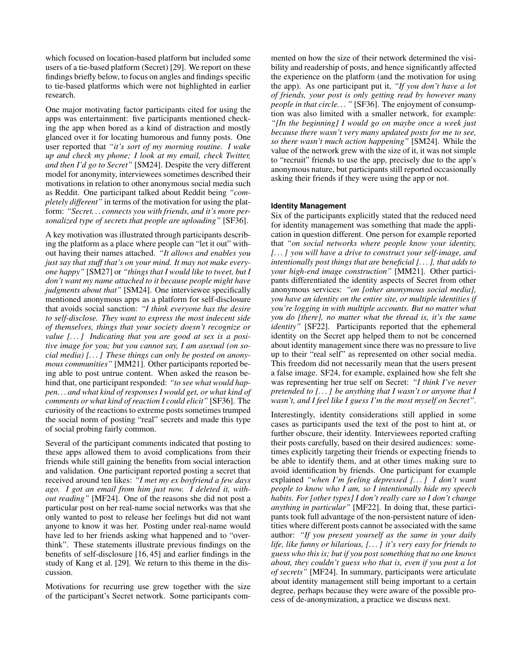which focused on location-based platform but included some users of a tie-based platform (Secret) [\[29\]](#page-11-7). We report on these findings briefly below, to focus on angles and findings specific to tie-based platforms which were not highlighted in earlier research.

One major motivating factor participants cited for using the apps was entertainment: five participants mentioned checking the app when bored as a kind of distraction and mostly glanced over it for locating humorous and funny posts. One user reported that *"it's sort of my morning routine. I wake up and check my phone; I look at my email, check Twitter, and then I'd go to Secret"* [SM24]. Despite the very different model for anonymity, interviewees sometimes described their motivations in relation to other anonymous social media such as Reddit. One participant talked about Reddit being *"completely different"* in terms of the motivation for using the platform: *"Secret. . . connects you with friends, and it's more personalized type of secrets that people are uploading"* [SF36].

A key motivation was illustrated through participants describing the platform as a place where people can "let it out" without having their names attached. *"It allows and enables you just say that stuff that's on your mind. It may not make everyone happy"* [SM27] or *"things that I would like to tweet, but I don't want my name attached to it because people might have judgments about that"* [SM24]. One interviewee specifically mentioned anonymous apps as a platform for self-disclosure that avoids social sanction: *"I think everyone has the desire to self-disclose. They want to express the most indecent side of themselves, things that your society doesn't recognize or value [. . . ] Indicating that you are good at sex is a positive image for you; but you cannot say, I am asexual (on social media) [. . . ] These things can only be posted on anonymous communities"* [MM21]. Other participants reported being able to post untrue content. When asked the reason behind that, one participant responded: *"to see what would happen. . . and what kind of responses I would get, or what kind of comments or what kind of reaction I could elicit"* [SF36]. The curiosity of the reactions to extreme posts sometimes trumped the social norm of posting "real" secrets and made this type of social probing fairly common.

Several of the participant comments indicated that posting to these apps allowed them to avoid complications from their friends while still gaining the benefits from social interaction and validation. One participant reported posting a secret that received around ten likes: *"I met my ex boyfriend a few days ago. I got an email from him just now. I deleted it, without reading"* [MF24]. One of the reasons she did not post a particular post on her real-name social networks was that she only wanted to post to release her feelings but did not want anyone to know it was her. Posting under real-name would have led to her friends asking what happened and to "overthink". These statements illustrate previous findings on the benefits of self-disclosure [\[16,](#page-10-10) [45\]](#page-11-1) and earlier findings in the study of Kang et al. [\[29\]](#page-11-7). We return to this theme in the discussion.

Motivations for recurring use grew together with the size of the participant's Secret network. Some participants commented on how the size of their network determined the visibility and readership of posts, and hence significantly affected the experience on the platform (and the motivation for using the app). As one participant put it, *"If you don't have a lot of friends, your post is only getting read by however many people in that circle. . . "* [SF36]. The enjoyment of consumption was also limited with a smaller network, for example: *"[In the beginning] I would go on maybe once a week just because there wasn't very many updated posts for me to see, so there wasn't much action happening"* [SM24]. While the value of the network grew with the size of it, it was not simple to "recruit" friends to use the app, precisely due to the app's anonymous nature, but participants still reported occasionally asking their friends if they were using the app or not.

## **Identity Management**

Six of the participants explicitly stated that the reduced need for identity management was something that made the application in question different. One person for example reported that *"on social networks where people know your identity, [. . . ] you will have a drive to construct your self-image, and intentionally post things that are beneficial [. . . ], that adds to your high-end image construction"* [MM21]. Other participants differentiated the identity aspects of Secret from other anonymous services: *"on [other anonymous social media], you have an identity on the entire site, or multiple identities if you're logging in with multiple accounts. But no matter what you do [there], no matter what the thread is, it's the same identity"* [SF22]. Participants reported that the ephemeral identity on the Secret app helped them to not be concerned about identity management since there was no pressure to live up to their "real self" as represented on other social media. This freedom did not necessarily mean that the users present a false image. SF24, for example, explained how she felt she was representing her true self on Secret: *"I think I've never pretended to [. . . ] be anything that I wasn't or anyone that I wasn't, and I feel like I guess I'm the most myself on Secret"*.

Interestingly, identity considerations still applied in some cases as participants used the text of the post to hint at, or further obscure, their identity. Interviewees reported crafting their posts carefully, based on their desired audiences: sometimes explicitly targeting their friends or expecting friends to be able to identify them, and at other times making sure to avoid identification by friends. One participant for example explained *"when I'm feeling depressed [. . . ] I don't want people to know who I am, so I intentionally hide my speech habits. For [other types] I don't really care so I don't change anything in particular"* [MF22]. In doing that, these participants took full advantage of the non-persistent nature of identities where different posts cannot be associated with the same author: *"If you present yourself as the same in your daily life, like funny or hilarious, [. . . ] it's very easy for friends to guess who this is; but if you post something that no one knows about, they couldn't guess who that is, even if you post a lot of secrets"* [MF24]. In summary, participants were articulate about identity management still being important to a certain degree, perhaps because they were aware of the possible process of de-anonymization, a practice we discuss next.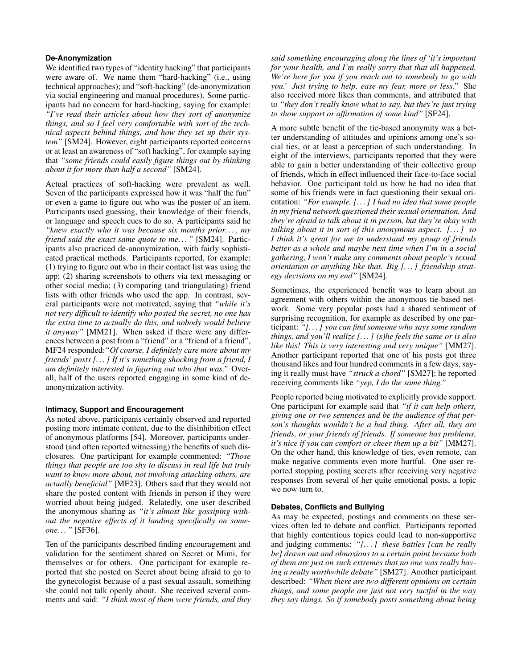## **De-Anonymization**

We identified two types of "identity hacking" that participants were aware of. We name them "hard-hacking" (i.e., using technical approaches); and "soft-hacking" (de-anonymization via social engineering and manual procedures). Some participants had no concern for hard-hacking, saying for example: *"I've read their articles about how they sort of anonymize things, and so I feel very comfortable with sort of the technical aspects behind things, and how they set up their system"* [SM24]. However, eight participants reported concerns or at least an awareness of "soft hacking", for example saying that *"some friends could easily figure things out by thinking about it for more than half a second"* [SM24].

Actual practices of soft-hacking were prevalent as well. Seven of the participants expressed how it was "half the fun" or even a game to figure out who was the poster of an item. Participants used guessing, their knowledge of their friends, or language and speech cues to do so. A participants said he *"knew exactly who it was because six months prior. . . , my friend said the exact same quote to me. . . "* [SM24]. Participants also practiced de-anonymization, with fairly sophisticated practical methods. Participants reported, for example: (1) trying to figure out who in their contact list was using the app; (2) sharing screenshots to others via text messaging or other social media; (3) comparing (and triangulating) friend lists with other friends who used the app. In contrast, several participants were not motivated, saying that *"while it's not very difficult to identify who posted the secret, no one has the extra time to actually do this, and nobody would believe it anyway"* [MM21]. When asked if there were any differences between a post from a "friend" or a "friend of a friend", MF24 responded:*"Of course, I definitely care more about my friends' posts [. . . ] If it's something shocking from a friend, I am definitely interested in figuring out who that was."* Overall, half of the users reported engaging in some kind of deanonymization activity.

#### **Intimacy, Support and Encouragement**

As noted above, participants certainly observed and reported posting more intimate content, due to the disinhibition effect of anonymous platforms [\[54\]](#page-12-7). Moreover, participants understood (and often reported witnessing) the benefits of such disclosures. One participant for example commented: *"Those things that people are too shy to discuss in real life but truly want to know more about, not involving attacking others, are actually beneficial"* [MF23]. Others said that they would not share the posted content with friends in person if they were worried about being judged. Relatedly, one user described the anonymous sharing as *"it's almost like gossiping without the negative effects of it landing specifically on someone. . . "* [SF36].

Ten of the participants described finding encouragement and validation for the sentiment shared on Secret or Mimi, for themselves or for others. One participant for example reported that she posted on Secret about being afraid to go to the gynecologist because of a past sexual assault, something she could not talk openly about. She received several comments and said: *"I think most of them were friends, and they*

*said something encouraging along the lines of 'it's important for your health, and I'm really sorry that that all happened. We're here for you if you reach out to somebody to go with you.' Just trying to help, ease my fear, more or less."* She also received more likes than comments, and attributed that to *"they don't really know what to say, but they're just trying to show support or affirmation of some kind"* [SF24].

A more subtle benefit of the tie-based anonymity was a better understanding of attitudes and opinions among one's social ties, or at least a perception of such understanding. In eight of the interviews, participants reported that they were able to gain a better understanding of their collective group of friends, which in effect influenced their face-to-face social behavior. One participant told us how he had no idea that some of his friends were in fact questioning their sexual orientation: *"For example, [. . . ] I had no idea that some people in my friend network questioned their sexual orientation. And they're afraid to talk about it in person, but they're okay with talking about it in sort of this anonymous aspect. [. . . ] so I think it's great for me to understand my group of friends better as a whole and maybe next time when I'm in a social gathering, I won't make any comments about people's sexual orientation or anything like that. Big [. . . ] friendship strategy decisions on my end"* [SM24].

Sometimes, the experienced benefit was to learn about an agreement with others within the anonymous tie-based network. Some very popular posts had a shared sentiment of surprising recognition, for example as described by one participant: *"[. . . ] you can find someone who says some random things, and you'll realize [. . . ] (s)he feels the same or is also like this! This is very interesting and very unique"* [MM27]. Another participant reported that one of his posts got three thousand likes and four hundred comments in a few days, saying it really must have *"struck a chord"* [SM27]; he reported receiving comments like *"yep, I do the same thing."*

People reported being motivated to explicitly provide support. One participant for example said that *"if it can help others, giving one or two sentences and be the audience of that person's thoughts wouldn't be a bad thing. After all, they are friends, or your friends of friends. If someone has problems, it's nice if you can comfort or cheer them up a bit"* [MM27]. On the other hand, this knowledge of ties, even remote, can make negative comments even more hurtful. One user reported stopping posting secrets after receiving very negative responses from several of her quite emotional posts, a topic we now turn to.

#### **Debates, Conflicts and Bullying**

As may be expected, postings and comments on these services often led to debate and conflict. Participants reported that highly contentious topics could lead to non-supportive and judging comments: *"[. . . ] these battles [can be really be] drawn out and obnoxious to a certain point because both of them are just on such extremes that no one was really having a really worthwhile debate"* [SM27]. Another participant described: *"When there are two different opinions on certain things, and some people are just not very tactful in the way they say things. So if somebody posts something about being*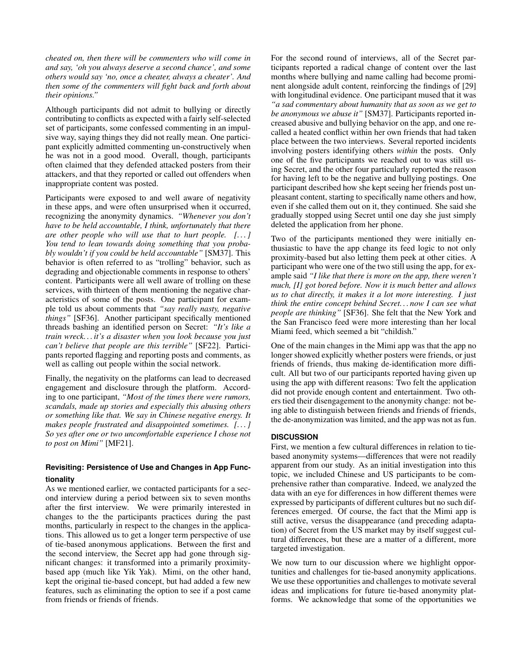*cheated on, then there will be commenters who will come in and say, 'oh you always deserve a second chance', and some others would say 'no, once a cheater, always a cheater'. And then some of the commenters will fight back and forth about their opinions."*

Although participants did not admit to bullying or directly contributing to conflicts as expected with a fairly self-selected set of participants, some confessed commenting in an impulsive way, saying things they did not really mean. One participant explicitly admitted commenting un-constructively when he was not in a good mood. Overall, though, participants often claimed that they defended attacked posters from their attackers, and that they reported or called out offenders when inappropriate content was posted.

Participants were exposed to and well aware of negativity in these apps, and were often unsurprised when it occurred, recognizing the anonymity dynamics. *"Whenever you don't have to be held accountable, I think, unfortunately that there are other people who will use that to hurt people. [. . . ] You tend to lean towards doing something that you probably wouldn't if you could be held accountable"* [SM37]. This behavior is often referred to as "trolling" behavior, such as degrading and objectionable comments in response to others' content. Participants were all well aware of trolling on these services, with thirteen of them mentioning the negative characteristics of some of the posts. One participant for example told us about comments that *"say really nasty, negative things"* [SF36]. Another participant specifically mentioned threads bashing an identified person on Secret: *"It's like a train wreck. . . it's a disaster when you look because you just can't believe that people are this terrible"* [SF22]. Participants reported flagging and reporting posts and comments, as well as calling out people within the social network.

Finally, the negativity on the platforms can lead to decreased engagement and disclosure through the platform. According to one participant, *"Most of the times there were rumors, scandals, made up stories and especially this abusing others or something like that. We say in Chinese negative energy. It makes people frustrated and disappointed sometimes. [. . . ] So yes after one or two uncomfortable experience I chose not to post on Mimi"* [MF21].

## **Revisiting: Persistence of Use and Changes in App Functionality**

As we mentioned earlier, we contacted participants for a second interview during a period between six to seven months after the first interview. We were primarily interested in changes to the the participants practices during the past months, particularly in respect to the changes in the applications. This allowed us to get a longer term perspective of use of tie-based anonymous applications. Between the first and the second interview, the Secret app had gone through significant changes: it transformed into a primarily proximitybased app (much like Yik Yak). Mimi, on the other hand, kept the original tie-based concept, but had added a few new features, such as eliminating the option to see if a post came from friends or friends of friends.

For the second round of interviews, all of the Secret participants reported a radical change of content over the last months where bullying and name calling had become prominent alongside adult content, reinforcing the findings of [\[29\]](#page-11-7) with longitudinal evidence. One participant mused that it was *"a sad commentary about humanity that as soon as we get to be anonymous we abuse it"* [SM37]. Participants reported increased abusive and bullying behavior on the app, and one recalled a heated conflict within her own friends that had taken place between the two interviews. Several reported incidents involving posters identifying others *within* the posts. Only one of the five participants we reached out to was still using Secret, and the other four particularly reported the reason for having left to be the negative and bullying postings. One participant described how she kept seeing her friends post unpleasant content, starting to specifically name others and how, even if she called them out on it, they continued. She said she gradually stopped using Secret until one day she just simply deleted the application from her phone.

Two of the participants mentioned they were initially enthusiastic to have the app change its feed logic to not only proximity-based but also letting them peek at other cities. A participant who were one of the two still using the app, for example said *"I like that there is more on the app, there weren't much, [I] got bored before. Now it is much better and allows us to chat directly, it makes it a lot more interesting. I just think the entire concept behind Secret. . . now I can see what people are thinking"* [SF36]. She felt that the New York and the San Francisco feed were more interesting than her local Miami feed, which seemed a bit "childish."

One of the main changes in the Mimi app was that the app no longer showed explicitly whether posters were friends, or just friends of friends, thus making de-identification more difficult. All but two of our participants reported having given up using the app with different reasons: Two felt the application did not provide enough content and entertainment. Two others tied their disengagement to the anonymity change: not being able to distinguish between friends and friends of friends, the de-anonymization was limited, and the app was not as fun.

## **DISCUSSION**

First, we mention a few cultural differences in relation to tiebased anonymity systems—differences that were not readily apparent from our study. As an initial investigation into this topic, we included Chinese and US participants to be comprehensive rather than comparative. Indeed, we analyzed the data with an eye for differences in how different themes were expressed by participants of different cultures but no such differences emerged. Of course, the fact that the Mimi app is still active, versus the disappearance (and preceding adaptation) of Secret from the US market may by itself suggest cultural differences, but these are a matter of a different, more targeted investigation.

We now turn to our discussion where we highlight opportunities and challenges for tie-based anonymity applications. We use these opportunities and challenges to motivate several ideas and implications for future tie-based anonymity platforms. We acknowledge that some of the opportunities we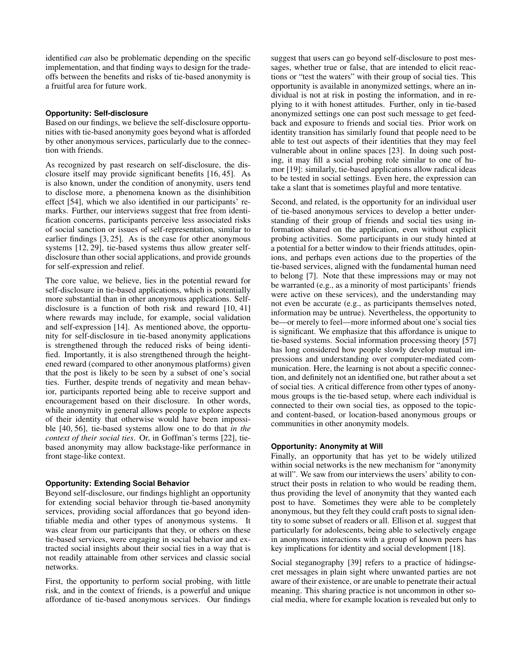identified *can* also be problematic depending on the specific implementation, and that finding ways to design for the tradeoffs between the benefits and risks of tie-based anonymity is a fruitful area for future work.

## **Opportunity: Self-disclosure**

Based on our findings, we believe the self-disclosure opportunities with tie-based anonymity goes beyond what is afforded by other anonymous services, particularly due to the connection with friends.

As recognized by past research on self-disclosure, the disclosure itself may provide significant benefits [\[16,](#page-10-10) [45\]](#page-11-1). As is also known, under the condition of anonymity, users tend to disclose more, a phenomena known as the disinhibition effect [\[54\]](#page-12-7), which we also identified in our participants' remarks. Further, our interviews suggest that free from identification concerns, participants perceive less associated risks of social sanction or issues of self-representation, similar to earlier findings [\[3,](#page-9-0) [25\]](#page-10-2). As is the case for other anonymous systems [\[12,](#page-10-3) [29\]](#page-11-7), tie-based systems thus allow greater selfdisclosure than other social applications, and provide grounds for self-expression and relief.

The core value, we believe, lies in the potential reward for self-disclosure in tie-based applications, which is potentially more substantial than in other anonymous applications. Selfdisclosure is a function of both risk and reward [\[10,](#page-10-7) [41\]](#page-11-13) where rewards may include, for example, social validation and self-expression [\[14\]](#page-10-9). As mentioned above, the opportunity for self-disclosure in tie-based anonymity applications is strengthened through the reduced risks of being identified. Importantly, it is also strengthened through the heightened reward (compared to other anonymous platforms) given that the post is likely to be seen by a subset of one's social ties. Further, despite trends of negativity and mean behavior, participants reported being able to receive support and encouragement based on their disclosure. In other words, while anonymity in general allows people to explore aspects of their identity that otherwise would have been impossible [\[40,](#page-11-8) [56\]](#page-12-3), tie-based systems allow one to do that *in the context of their social ties*. Or, in Goffman's terms [\[22\]](#page-10-14), tiebased anonymity may allow backstage-like performance in front stage-like context.

## **Opportunity: Extending Social Behavior**

Beyond self-disclosure, our findings highlight an opportunity for extending social behavior through tie-based anonymity services, providing social affordances that go beyond identifiable media and other types of anonymous systems. It was clear from our participants that they, or others on these tie-based services, were engaging in social behavior and extracted social insights about their social ties in a way that is not readily attainable from other services and classic social networks.

First, the opportunity to perform social probing, with little risk, and in the context of friends, is a powerful and unique affordance of tie-based anonymous services. Our findings

suggest that users can go beyond self-disclosure to post messages, whether true or false, that are intended to elicit reactions or "test the waters" with their group of social ties. This opportunity is available in anonymized settings, where an individual is not at risk in posting the information, and in replying to it with honest attitudes. Further, only in tie-based anonymized settings one can post such message to get feedback and exposure to friends and social ties. Prior work on identity transition has similarly found that people need to be able to test out aspects of their identities that they may feel vulnerable about in online spaces [\[23\]](#page-10-15). In doing such posting, it may fill a social probing role similar to one of humor [\[19\]](#page-10-16): similarly, tie-based applications allow radical ideas to be tested in social settings. Even here, the expression can take a slant that is sometimes playful and more tentative.

Second, and related, is the opportunity for an individual user of tie-based anonymous services to develop a better understanding of their group of friends and social ties using information shared on the application, even without explicit probing activities. Some participants in our study hinted at a potential for a better window to their friends attitudes, opinions, and perhaps even actions due to the properties of the tie-based services, aligned with the fundamental human need to belong [\[7\]](#page-10-17). Note that these impressions may or may not be warranted (e.g., as a minority of most participants' friends were active on these services), and the understanding may not even be accurate (e.g., as participants themselves noted, information may be untrue). Nevertheless, the opportunity to be—or merely to feel—more informed about one's social ties is significant. We emphasize that this affordance is unique to tie-based systems. Social information processing theory [\[57\]](#page-12-8) has long considered how people slowly develop mutual impressions and understanding over computer-mediated communication. Here, the learning is not about a specific connection, and definitely not an identified one, but rather about a set of social ties. A critical difference from other types of anonymous groups is the tie-based setup, where each individual is connected to their own social ties, as opposed to the topicand content-based, or location-based anonymous groups or communities in other anonymity models.

## **Opportunity: Anonymity at Will**

Finally, an opportunity that has yet to be widely utilized within social networks is the new mechanism for "anonymity at will". We saw from our interviews the users' ability to construct their posts in relation to who would be reading them, thus providing the level of anonymity that they wanted each post to have. Sometimes they were able to be completely anonymous, but they felt they could craft posts to signal identity to some subset of readers or all. Ellison et al. suggest that particularly for adolescents, being able to selectively engage in anonymous interactions with a group of known peers has key implications for identity and social development [\[18\]](#page-10-5).

Social steganography [\[39\]](#page-11-14) refers to a practice of hidingsecret messages in plain sight where unwanted parties are not aware of their existence, or are unable to penetrate their actual meaning. This sharing practice is not uncommon in other social media, where for example location is revealed but only to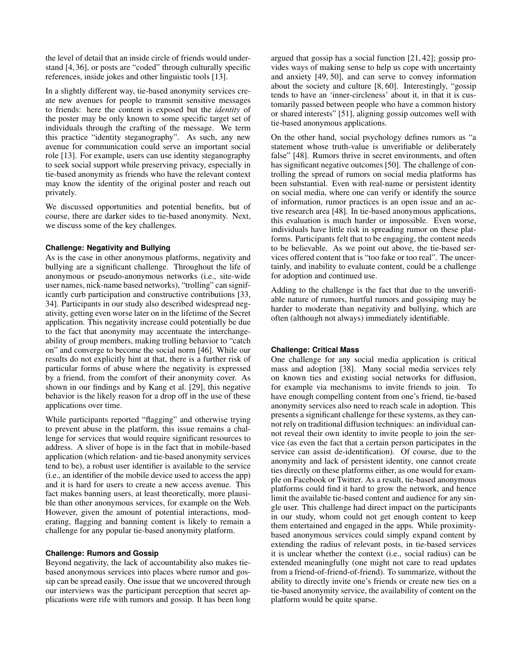the level of detail that an inside circle of friends would understand [\[4,](#page-9-5) [36\]](#page-11-15), or posts are "coded" through culturally specific references, inside jokes and other linguistic tools [\[13\]](#page-10-18).

In a slightly different way, tie-based anonymity services create new avenues for people to transmit sensitive messages to friends: here the content is exposed but the *identity* of the poster may be only known to some specific target set of individuals through the crafting of the message. We term this practice "identity steganography". As such, any new avenue for communication could serve an important social role [\[13\]](#page-10-18). For example, users can use identity steganography to seek social support while preserving privacy, especially in tie-based anonymity as friends who have the relevant context may know the identity of the original poster and reach out privately.

We discussed opportunities and potential benefits, but of course, there are darker sides to tie-based anonymity. Next, we discuss some of the key challenges.

## **Challenge: Negativity and Bullying**

As is the case in other anonymous platforms, negativity and bullying are a significant challenge. Throughout the life of anonymous or pseudo-anonymous networks (i.e., site-wide user names, nick-name based networks), "trolling" can significantly curb participation and constructive contributions [\[33,](#page-11-2) [34\]](#page-11-3). Participants in our study also described widespread negativity, getting even worse later on in the lifetime of the Secret application. This negativity increase could potentially be due to the fact that anonymity may accentuate the interchangeability of group members, making trolling behavior to "catch on" and converge to become the social norm [\[46\]](#page-11-16). While our results do not explicitly hint at that, there is a further risk of particular forms of abuse where the negativity is expressed by a friend, from the comfort of their anonymity cover. As shown in our findings and by Kang et al. [\[29\]](#page-11-7), this negative behavior is the likely reason for a drop off in the use of these applications over time.

While participants reported "flagging" and otherwise trying to prevent abuse in the platform, this issue remains a challenge for services that would require significant resources to address. A sliver of hope is in the fact that in mobile-based application (which relation- and tie-based anonymity services tend to be), a robust user identifier is available to the service (i.e., an identifier of the mobile device used to access the app) and it is hard for users to create a new access avenue. This fact makes banning users, at least theoretically, more plausible than other anonymous services, for example on the Web. However, given the amount of potential interactions, moderating, flagging and banning content is likely to remain a challenge for any popular tie-based anonymity platform.

## **Challenge: Rumors and Gossip**

Beyond negativity, the lack of accountability also makes tiebased anonymous services into places where rumor and gossip can be spread easily. One issue that we uncovered through our interviews was the participant perception that secret applications were rife with rumors and gossip. It has been long argued that gossip has a social function [\[21,](#page-10-19) [42\]](#page-11-17); gossip provides ways of making sense to help us cope with uncertainty and anxiety [\[49,](#page-12-9) [50\]](#page-12-10), and can serve to convey information about the society and culture [\[8,](#page-10-20) [60\]](#page-12-11). Interestingly, "gossip tends to have an 'inner-circleness' about it, in that it is customarily passed between people who have a common history or shared interests" [\[51\]](#page-12-12), aligning gossip outcomes well with tie-based anonymous applications.

On the other hand, social psychology defines rumors as "a statement whose truth-value is unverifiable or deliberately false" [\[48\]](#page-12-13). Rumors thrive in secret environments, and often has significant negative outcomes [\[50\]](#page-12-10). The challenge of controlling the spread of rumors on social media platforms has been substantial. Even with real-name or persistent identity on social media, where one can verify or identify the source of information, rumor practices is an open issue and an active research area [\[48\]](#page-12-13). In tie-based anonymous applications, this evaluation is much harder or impossible. Even worse, individuals have little risk in spreading rumor on these platforms. Participants felt that to be engaging, the content needs to be believable. As we point out above, the tie-based services offered content that is "too fake or too real". The uncertainly, and inability to evaluate content, could be a challenge for adoption and continued use.

Adding to the challenge is the fact that due to the unverifiable nature of rumors, hurtful rumors and gossiping may be harder to moderate than negativity and bullying, which are often (although not always) immediately identifiable.

## **Challenge: Critical Mass**

One challenge for any social media application is critical mass and adoption [\[38\]](#page-11-18). Many social media services rely on known ties and existing social networks for diffusion, for example via mechanisms to invite friends to join. To have enough compelling content from one's friend, tie-based anonymity services also need to reach scale in adoption. This presents a significant challenge for these systems, as they cannot rely on traditional diffusion techniques: an individual cannot reveal their own identity to invite people to join the service (as even the fact that a certain person participates in the service can assist de-identification). Of course, due to the anonymity and lack of persistent identity, one cannot create ties directly on these platforms either, as one would for example on Facebook or Twitter. As a result, tie-based anonymous platforms could find it hard to grow the network, and hence limit the available tie-based content and audience for any single user. This challenge had direct impact on the participants in our study, whom could not get enough content to keep them entertained and engaged in the apps. While proximitybased anonymous services could simply expand content by extending the radius of relevant posts, in tie-based services it is unclear whether the context (i.e., social radius) can be extended meaningfully (one might not care to read updates from a friend-of-friend-of-friend). To summarize, without the ability to directly invite one's friends or create new ties on a tie-based anonymity service, the availability of content on the platform would be quite sparse.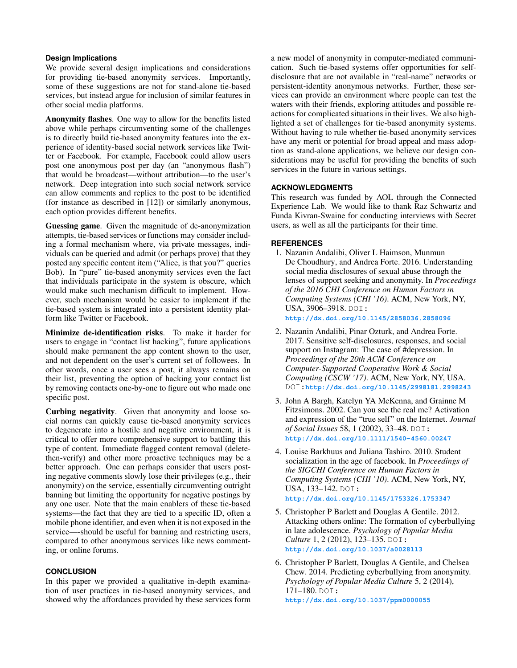### **Design Implications**

We provide several design implications and considerations for providing tie-based anonymity services. Importantly, some of these suggestions are not for stand-alone tie-based services, but instead argue for inclusion of similar features in other social media platforms.

Anonymity flashes. One way to allow for the benefits listed above while perhaps circumventing some of the challenges is to directly build tie-based anonymity features into the experience of identity-based social network services like Twitter or Facebook. For example, Facebook could allow users post one anonymous post per day (an "anonymous flash") that would be broadcast—without attribution—to the user's network. Deep integration into such social network service can allow comments and replies to the post to be identified (for instance as described in [\[12\]](#page-10-3)) or similarly anonymous, each option provides different benefits.

Guessing game. Given the magnitude of de-anonymization attempts, tie-based services or functions may consider including a formal mechanism where, via private messages, individuals can be queried and admit (or perhaps prove) that they posted any specific content item ("Alice, is that you?" queries Bob). In "pure" tie-based anonymity services even the fact that individuals participate in the system is obscure, which would make such mechanism difficult to implement. However, such mechanism would be easier to implement if the tie-based system is integrated into a persistent identity platform like Twitter or Facebook.

Minimize de-identification risks. To make it harder for users to engage in "contact list hacking", future applications should make permanent the app content shown to the user, and not dependent on the user's current set of followees. In other words, once a user sees a post, it always remains on their list, preventing the option of hacking your contact list by removing contacts one-by-one to figure out who made one specific post.

Curbing negativity. Given that anonymity and loose social norms can quickly cause tie-based anonymity services to degenerate into a hostile and negative environment, it is critical to offer more comprehensive support to battling this type of content. Immediate flagged content removal (deletethen-verify) and other more proactive techniques may be a better approach. One can perhaps consider that users posting negative comments slowly lose their privileges (e.g., their anonymity) on the service, essentially circumventing outright banning but limiting the opportunity for negative postings by any one user. Note that the main enablers of these tie-based systems—the fact that they are tied to a specific ID, often a mobile phone identifier, and even when it is not exposed in the service—-should be useful for banning and restricting users, compared to other anonymous services like news commenting, or online forums.

#### **CONCLUSION**

In this paper we provided a qualitative in-depth examination of user practices in tie-based anonymity services, and showed why the affordances provided by these services form a new model of anonymity in computer-mediated communication. Such tie-based systems offer opportunities for selfdisclosure that are not available in "real-name" networks or persistent-identity anonymous networks. Further, these services can provide an environment where people can test the waters with their friends, exploring attitudes and possible reactions for complicated situations in their lives. We also highlighted a set of challenges for tie-based anonymity systems. Without having to rule whether tie-based anonymity services have any merit or potential for broad appeal and mass adoption as stand-alone applications, we believe our design considerations may be useful for providing the benefits of such services in the future in various settings.

### **ACKNOWLEDGMENTS**

This research was funded by AOL through the Connected Experience Lab. We would like to thank Raz Schwartz and Funda Kivran-Swaine for conducting interviews with Secret users, as well as all the participants for their time.

### <span id="page-9-1"></span>**REFERENCES**

- 1. Nazanin Andalibi, Oliver L Haimson, Munmun De Choudhury, and Andrea Forte. 2016. Understanding social media disclosures of sexual abuse through the lenses of support seeking and anonymity. In *Proceedings of the 2016 CHI Conference on Human Factors in Computing Systems (CHI '16)*. ACM, New York, NY, USA, 3906–3918. DOI: **<http://dx.doi.org/10.1145/2858036.2858096>**
- <span id="page-9-4"></span>2. Nazanin Andalibi, Pinar Ozturk, and Andrea Forte. 2017. Sensitive self-disclosures, responses, and social support on Instagram: The case of #depression. In *Proceedings of the 20th ACM Conference on Computer-Supported Cooperative Work & Social Computing (CSCW '17)*. ACM, New York, NY, USA. DOI:**<http://dx.doi.org/10.1145/2998181.2998243>**
- <span id="page-9-0"></span>3. John A Bargh, Katelyn YA McKenna, and Grainne M Fitzsimons. 2002. Can you see the real me? Activation and expression of the "true self" on the Internet. *Journal of Social Issues* 58, 1 (2002), 33–48. DOI: **<http://dx.doi.org/10.1111/1540-4560.00247>**
- <span id="page-9-5"></span>4. Louise Barkhuus and Juliana Tashiro. 2010. Student socialization in the age of facebook. In *Proceedings of the SIGCHI Conference on Human Factors in Computing Systems (CHI '10)*. ACM, New York, NY, USA, 133–142. DOI: **<http://dx.doi.org/10.1145/1753326.1753347>**
- <span id="page-9-2"></span>5. Christopher P Barlett and Douglas A Gentile. 2012. Attacking others online: The formation of cyberbullying in late adolescence. *Psychology of Popular Media Culture* 1, 2 (2012), 123–135. DOI: **<http://dx.doi.org/10.1037/a0028113>**
- <span id="page-9-3"></span>6. Christopher P Barlett, Douglas A Gentile, and Chelsea Chew. 2014. Predicting cyberbullying from anonymity. *Psychology of Popular Media Culture* 5, 2 (2014), 171–180. DOI: **<http://dx.doi.org/10.1037/ppm0000055>**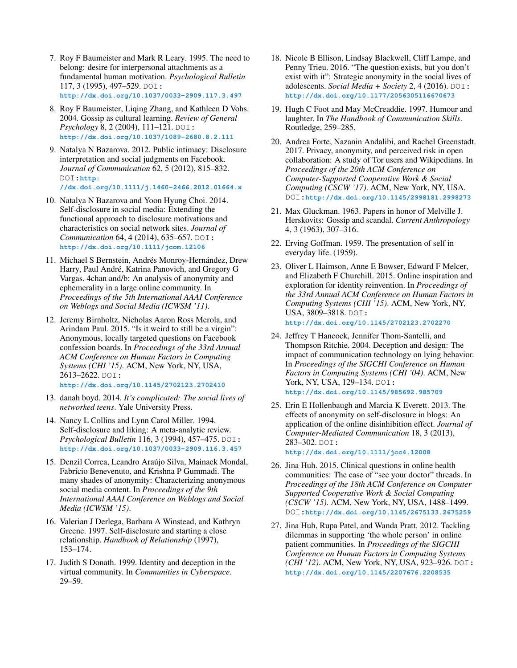- <span id="page-10-17"></span>7. Roy F Baumeister and Mark R Leary. 1995. The need to belong: desire for interpersonal attachments as a fundamental human motivation. *Psychological Bulletin* 117, 3 (1995), 497–529. DOI: **<http://dx.doi.org/10.1037/0033-2909.117.3.497>**
- <span id="page-10-20"></span>8. Roy F Baumeister, Liqing Zhang, and Kathleen D Vohs. 2004. Gossip as cultural learning. *Review of General Psychology* 8, 2 (2004), 111–121. DOI: **<http://dx.doi.org/10.1037/1089-2680.8.2.111>**
- <span id="page-10-8"></span>9. Natalya N Bazarova. 2012. Public intimacy: Disclosure interpretation and social judgments on Facebook. *Journal of Communication* 62, 5 (2012), 815–832. DOI:**[http:](http://dx.doi.org/10.1111/j.1460-2466.2012.01664.x) [//dx.doi.org/10.1111/j.1460-2466.2012.01664.x](http://dx.doi.org/10.1111/j.1460-2466.2012.01664.x)**
- <span id="page-10-7"></span>10. Natalya N Bazarova and Yoon Hyung Choi. 2014. Self-disclosure in social media: Extending the functional approach to disclosure motivations and characteristics on social network sites. *Journal of Communication* 64, 4 (2014), 635–657. DOI: **<http://dx.doi.org/10.1111/jcom.12106>**
- <span id="page-10-0"></span>11. Michael S Bernstein, Andrés Monroy-Hernández, Drew Harry, Paul André, Katrina Panovich, and Gregory G Vargas. 4chan and/b: An analysis of anonymity and ephemerality in a large online community. In *Proceedings of the 5th International AAAI Conference on Weblogs and Social Media (ICWSM '11)*.
- <span id="page-10-3"></span>12. Jeremy Birnholtz, Nicholas Aaron Ross Merola, and Arindam Paul. 2015. "Is it weird to still be a virgin": Anonymous, locally targeted questions on Facebook confession boards. In *Proceedings of the 33rd Annual ACM Conference on Human Factors in Computing Systems (CHI '15)*. ACM, New York, NY, USA, 2613–2622. DOI:

**<http://dx.doi.org/10.1145/2702123.2702410>**

- <span id="page-10-18"></span>13. danah boyd. 2014. *It's complicated: The social lives of networked teens*. Yale University Press.
- <span id="page-10-9"></span>14. Nancy L Collins and Lynn Carol Miller. 1994. Self-disclosure and liking: A meta-analytic review. *Psychological Bulletin* 116, 3 (1994), 457–475. DOI: **<http://dx.doi.org/10.1037/0033-2909.116.3.457>**
- <span id="page-10-13"></span>15. Denzil Correa, Leandro Araujo Silva, Mainack Mondal, ´ Fabrício Benevenuto, and Krishna P Gummadi. The many shades of anonymity: Characterizing anonymous social media content. In *Proceedings of the 9th International AAAI Conference on Weblogs and Social Media (ICWSM '15)*.
- <span id="page-10-10"></span>16. Valerian J Derlega, Barbara A Winstead, and Kathryn Greene. 1997. Self-disclosure and starting a close relationship. *Handbook of Relationship* (1997), 153–174.
- <span id="page-10-12"></span>17. Judith S Donath. 1999. Identity and deception in the virtual community. In *Communities in Cyberspace*. 29–59.
- <span id="page-10-5"></span>18. Nicole B Ellison, Lindsay Blackwell, Cliff Lampe, and Penny Trieu. 2016. "The question exists, but you don't exist with it": Strategic anonymity in the social lives of adolescents. *Social Media + Society* 2, 4 (2016). DOI: **<http://dx.doi.org/10.1177/2056305116670673>**
- <span id="page-10-16"></span>19. Hugh C Foot and May McCreaddie. 1997. Humour and laughter. In *The Handbook of Communication Skills*. Routledge, 259–285.
- <span id="page-10-6"></span>20. Andrea Forte, Nazanin Andalibi, and Rachel Greenstadt. 2017. Privacy, anonymity, and perceived risk in open collaboration: A study of Tor users and Wikipedians. In *Proceedings of the 20th ACM Conference on Computer-Supported Cooperative Work & Social Computing (CSCW '17)*. ACM, New York, NY, USA. DOI:**<http://dx.doi.org/10.1145/2998181.2998273>**
- <span id="page-10-19"></span>21. Max Gluckman. 1963. Papers in honor of Melville J. Herskovits: Gossip and scandal. *Current Anthropology* 4, 3 (1963), 307–316.
- <span id="page-10-14"></span>22. Erving Goffman. 1959. The presentation of self in everyday life. (1959).
- <span id="page-10-15"></span>23. Oliver L Haimson, Anne E Bowser, Edward F Melcer, and Elizabeth F Churchill. 2015. Online inspiration and exploration for identity reinvention. In *Proceedings of the 33rd Annual ACM Conference on Human Factors in Computing Systems (CHI '15)*. ACM, New York, NY, USA, 3809–3818. DOI: **<http://dx.doi.org/10.1145/2702123.2702270>**
- <span id="page-10-11"></span>24. Jeffrey T Hancock, Jennifer Thom-Santelli, and Thompson Ritchie. 2004. Deception and design: The impact of communication technology on lying behavior. In *Proceedings of the SIGCHI Conference on Human Factors in Computing Systems (CHI '04)*. ACM, New York, NY, USA, 129-134. DOI: **<http://dx.doi.org/10.1145/985692.985709>**
- <span id="page-10-2"></span>25. Erin E Hollenbaugh and Marcia K Everett. 2013. The effects of anonymity on self-disclosure in blogs: An application of the online disinhibition effect. *Journal of Computer-Mediated Communication* 18, 3 (2013), 283–302. DOI:

**<http://dx.doi.org/10.1111/jcc4.12008>**

- <span id="page-10-4"></span>26. Jina Huh. 2015. Clinical questions in online health communities: The case of "see your doctor" threads. In *Proceedings of the 18th ACM Conference on Computer Supported Cooperative Work & Social Computing (CSCW '15)*. ACM, New York, NY, USA, 1488–1499. DOI:**<http://dx.doi.org/10.1145/2675133.2675259>**
- <span id="page-10-1"></span>27. Jina Huh, Rupa Patel, and Wanda Pratt. 2012. Tackling dilemmas in supporting 'the whole person' in online patient communities. In *Proceedings of the SIGCHI Conference on Human Factors in Computing Systems (CHI '12)*. ACM, New York, NY, USA, 923–926. DOI: **<http://dx.doi.org/10.1145/2207676.2208535>**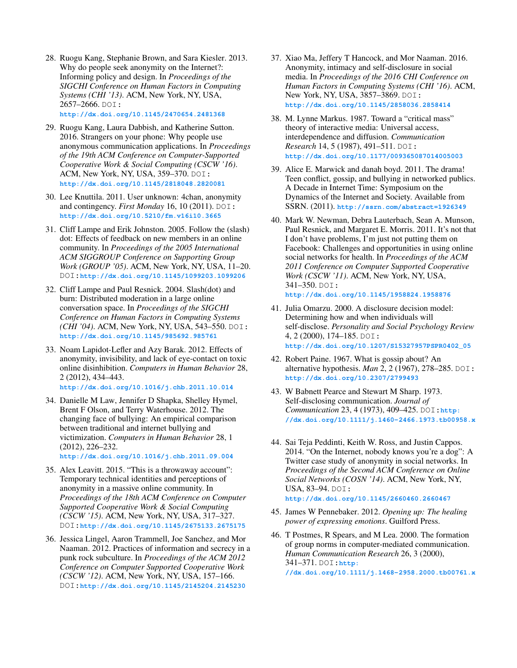<span id="page-11-5"></span>28. Ruogu Kang, Stephanie Brown, and Sara Kiesler. 2013. Why do people seek anonymity on the Internet?: Informing policy and design. In *Proceedings of the SIGCHI Conference on Human Factors in Computing Systems (CHI '13)*. ACM, New York, NY, USA, 2657–2666. DOI:

**<http://dx.doi.org/10.1145/2470654.2481368>**

- <span id="page-11-7"></span>29. Ruogu Kang, Laura Dabbish, and Katherine Sutton. 2016. Strangers on your phone: Why people use anonymous communication applications. In *Proceedings of the 19th ACM Conference on Computer-Supported Cooperative Work & Social Computing (CSCW '16)*. ACM, New York, NY, USA, 359–370. DOI: **<http://dx.doi.org/10.1145/2818048.2820081>**
- <span id="page-11-9"></span>30. Lee Knuttila. 2011. User unknown: 4chan, anonymity and contingency. *First Monday* 16, 10 (2011). DOI: **<http://dx.doi.org/10.5210/fm.v16i10.3665>**
- <span id="page-11-10"></span>31. Cliff Lampe and Erik Johnston. 2005. Follow the (slash) dot: Effects of feedback on new members in an online community. In *Proceedings of the 2005 International ACM SIGGROUP Conference on Supporting Group Work (GROUP '05)*. ACM, New York, NY, USA, 11–20. DOI:**<http://dx.doi.org/10.1145/1099203.1099206>**
- <span id="page-11-12"></span>32. Cliff Lampe and Paul Resnick. 2004. Slash(dot) and burn: Distributed moderation in a large online conversation space. In *Proceedings of the SIGCHI Conference on Human Factors in Computing Systems (CHI '04)*. ACM, New York, NY, USA, 543–550. DOI: **<http://dx.doi.org/10.1145/985692.985761>**
- <span id="page-11-2"></span>33. Noam Lapidot-Lefler and Azy Barak. 2012. Effects of anonymity, invisibility, and lack of eye-contact on toxic online disinhibition. *Computers in Human Behavior* 28, 2 (2012), 434–443. **<http://dx.doi.org/10.1016/j.chb.2011.10.014>**
- <span id="page-11-3"></span>34. Danielle M Law, Jennifer D Shapka, Shelley Hymel, Brent F Olson, and Terry Waterhouse. 2012. The changing face of bullying: An empirical comparison between traditional and internet bullying and victimization. *Computers in Human Behavior* 28, 1 (2012), 226–232.

**<http://dx.doi.org/10.1016/j.chb.2011.09.004>**

- <span id="page-11-11"></span>35. Alex Leavitt. 2015. "This is a throwaway account": Temporary technical identities and perceptions of anonymity in a massive online community. In *Proceedings of the 18th ACM Conference on Computer Supported Cooperative Work & Social Computing (CSCW '15)*. ACM, New York, NY, USA, 317–327. DOI:**<http://dx.doi.org/10.1145/2675133.2675175>**
- <span id="page-11-15"></span>36. Jessica Lingel, Aaron Trammell, Joe Sanchez, and Mor Naaman. 2012. Practices of information and secrecy in a punk rock subculture. In *Proceedings of the ACM 2012 Conference on Computer Supported Cooperative Work (CSCW '12)*. ACM, New York, NY, USA, 157–166. DOI:**<http://dx.doi.org/10.1145/2145204.2145230>**
- <span id="page-11-4"></span>37. Xiao Ma, Jeffery T Hancock, and Mor Naaman. 2016. Anonymity, intimacy and self-disclosure in social media. In *Proceedings of the 2016 CHI Conference on Human Factors in Computing Systems (CHI '16)*. ACM, New York, NY, USA, 3857–3869. DOI: **<http://dx.doi.org/10.1145/2858036.2858414>**
- <span id="page-11-18"></span>38. M. Lynne Markus. 1987. Toward a "critical mass" theory of interactive media: Universal access, interdependence and diffusion. *Communication Research* 14, 5 (1987), 491–511. DOI: **<http://dx.doi.org/10.1177/009365087014005003>**
- <span id="page-11-14"></span>39. Alice E. Marwick and danah boyd. 2011. The drama! Teen conflict, gossip, and bullying in networked publics. A Decade in Internet Time: Symposium on the Dynamics of the Internet and Society. Available from SSRN. (2011). **<http://ssrn.com/abstract=1926349>**
- <span id="page-11-8"></span>40. Mark W. Newman, Debra Lauterbach, Sean A. Munson, Paul Resnick, and Margaret E. Morris. 2011. It's not that I don't have problems, I'm just not putting them on Facebook: Challenges and opportunities in using online social networks for health. In *Proceedings of the ACM 2011 Conference on Computer Supported Cooperative Work (CSCW '11)*. ACM, New York, NY, USA, 341–350. DOI: **<http://dx.doi.org/10.1145/1958824.1958876>**
- <span id="page-11-13"></span>41. Julia Omarzu. 2000. A disclosure decision model: Determining how and when individuals will self-disclose. *Personality and Social Psychology Review* 4, 2 (2000), 174–185. DOI: **[http://dx.doi.org/10.1207/S15327957PSPR0402\\_05](http://dx.doi.org/10.1207/S15327957PSPR0402_05)**
- <span id="page-11-17"></span>42. Robert Paine. 1967. What is gossip about? An alternative hypothesis. *Man* 2, 2 (1967), 278–285. DOI: **<http://dx.doi.org/10.2307/2799493>**
- <span id="page-11-0"></span>43. W Babnett Pearce and Stewart M Sharp. 1973. Self-disclosing communication. *Journal of Communication* 23, 4 (1973), 409–425. DOI:**[http:](http://dx.doi.org/10.1111/j.1460-2466.1973.tb00958.x) [//dx.doi.org/10.1111/j.1460-2466.1973.tb00958.x](http://dx.doi.org/10.1111/j.1460-2466.1973.tb00958.x)**
- <span id="page-11-6"></span>44. Sai Teja Peddinti, Keith W. Ross, and Justin Cappos. 2014. "On the Internet, nobody knows you're a dog": A Twitter case study of anonymity in social networks. In *Proceedings of the Second ACM Conference on Online Social Networks (COSN '14)*. ACM, New York, NY, USA, 83–94. DOI: **<http://dx.doi.org/10.1145/2660460.2660467>**
- <span id="page-11-1"></span>45. James W Pennebaker. 2012. *Opening up: The healing power of expressing emotions*. Guilford Press.
- <span id="page-11-16"></span>46. T Postmes, R Spears, and M Lea. 2000. The formation of group norms in computer-mediated communication. *Human Communication Research* 26, 3 (2000), 341–371. DOI:**[http:](http://dx.doi.org/10.1111/j.1468-2958.2000.tb00761.x)**

**[//dx.doi.org/10.1111/j.1468-2958.2000.tb00761.x](http://dx.doi.org/10.1111/j.1468-2958.2000.tb00761.x)**